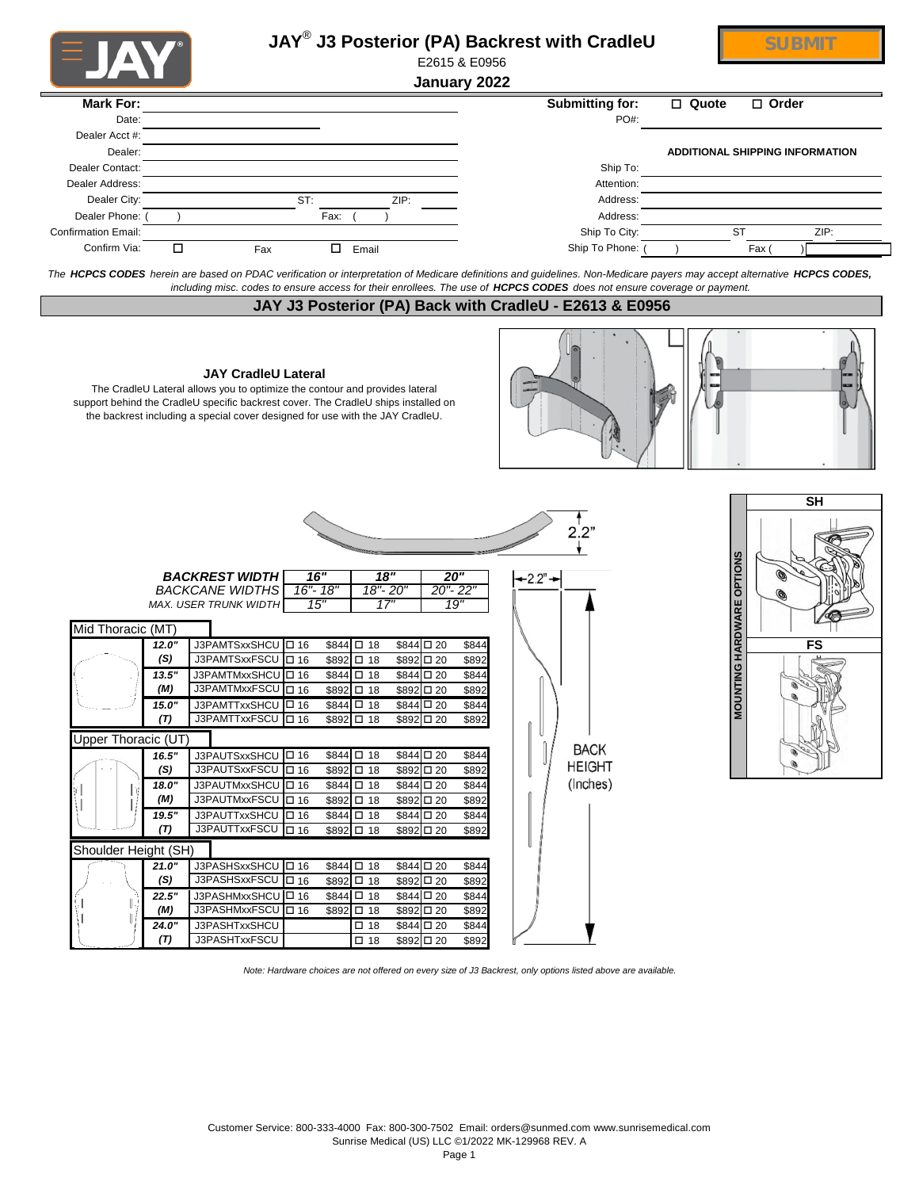| <b>U JAN</b>               | JAY <sup>®</sup> J3 Posterior (PA) Backrest with CradleU<br>E2615 & E0956                                                                                                                                                                                                                          |                             | <b>SUBMIT</b>                          |
|----------------------------|----------------------------------------------------------------------------------------------------------------------------------------------------------------------------------------------------------------------------------------------------------------------------------------------------|-----------------------------|----------------------------------------|
|                            | January 2022                                                                                                                                                                                                                                                                                       |                             |                                        |
| <b>Mark For:</b>           |                                                                                                                                                                                                                                                                                                    | <b>Submitting for:</b>      | □ Quote<br>$\Box$ Order                |
| Date:                      |                                                                                                                                                                                                                                                                                                    | PO#:                        |                                        |
| Dealer Acct #:             |                                                                                                                                                                                                                                                                                                    |                             |                                        |
| Dealer:                    |                                                                                                                                                                                                                                                                                                    |                             | <b>ADDITIONAL SHIPPING INFORMATION</b> |
| Dealer Contact:            |                                                                                                                                                                                                                                                                                                    | Ship To:                    |                                        |
| Dealer Address:            |                                                                                                                                                                                                                                                                                                    | Attention:                  |                                        |
| Dealer City:               | ST:<br>ZIP:                                                                                                                                                                                                                                                                                        | Address:                    |                                        |
| Dealer Phone:              | Fax:                                                                                                                                                                                                                                                                                               | Address:                    |                                        |
| <b>Confirmation Email:</b> |                                                                                                                                                                                                                                                                                                    | Ship To City:               | <b>ST</b><br>ZIP:                      |
| Confirm Via:               | □<br>$\Box$<br>Email<br>Fax                                                                                                                                                                                                                                                                        | Ship To Phone:              | Fax                                    |
|                            |                                                                                                                                                                                                                                                                                                    |                             |                                        |
|                            | The HCPCS CODES herein are based on PDAC verification or interpretation of Medicare definitions and guidelines. Non-Medicare payers may accept alternative HCPCS CODES,<br>including misc. codes to ensure access for their enrollees. The use of HCPCS CODES does not ensure coverage or payment. |                             |                                        |
|                            | JAY J3 Posterior (PA) Back with CradleU - E2613 & E0956                                                                                                                                                                                                                                            |                             |                                        |
|                            | <b>JAY CradleU Lateral</b><br>The CradleU Lateral allows you to optimize the contour and provides lateral<br>support behind the CradleU specific backrest cover. The CradleU ships installed on<br>the backrest including a special cover designed for use with the JAY CradleU.                   |                             |                                        |
|                            | <b>BACKREST WIDTH</b><br>16"<br>18"<br>20"<br><b>BACKCANE WIDTHS</b><br>16"-18"<br>18"-20"<br>$20 - 22$<br>15"<br>17"<br>19"<br>MAX. USER TRUNK WIDTH                                                                                                                                              | 2.2"<br>$-2.2" \rightarrow$ | <b>SH</b><br><b>HARDWARE OPTIONS</b>   |
|                            |                                                                                                                                                                                                                                                                                                    |                             |                                        |
| Mid Thoracic (MT)          |                                                                                                                                                                                                                                                                                                    |                             |                                        |
|                            | J3PAMTSxxSHCU   16<br>\$844 □ 18<br>\$844 □ 20<br>12.0"<br>\$844                                                                                                                                                                                                                                   |                             | FS                                     |
|                            | J3PAMTSxxFSCU   16<br>\$892 □ 18<br>(S)<br>\$892 □ 20<br>\$892                                                                                                                                                                                                                                     |                             |                                        |
|                            | J3PAMTMxxSHCU <sup>I</sup> D 16<br>\$844 □ 18<br>\$844 □ 20<br>13.5"<br>\$844                                                                                                                                                                                                                      |                             | NTING                                  |
|                            | J3PAMTMxxFSCU   16<br>(M)<br>\$892 □ 18<br>\$892 □ 20<br>\$892                                                                                                                                                                                                                                     |                             |                                        |
|                            | J3PAMTTxxSHCU   0 16<br>\$844 □ 18<br>\$844 □ 20<br>15.0"<br>\$844                                                                                                                                                                                                                                 |                             | <b>NON</b>                             |
|                            | (T)<br>J3PAMTTxxFSCU   0 16<br>\$892 □ 18<br>$$892 \square 20$<br>\$892                                                                                                                                                                                                                            |                             |                                        |
| Upper Thoracic (UT)        |                                                                                                                                                                                                                                                                                                    |                             |                                        |
|                            | 16.5"<br>J3PAUTSxxSHCU   0 16<br>\$844 □ 18<br>\$844 □ 20<br>\$844                                                                                                                                                                                                                                 | <b>BACK</b>                 |                                        |
|                            | J3PAUTSxxFSCU   16<br>(S)<br>\$892 □ 20<br>\$892 □ 18<br>\$892                                                                                                                                                                                                                                     | <b>HEIGHT</b>               |                                        |
|                            | J3PAUTMxxSHCU   16<br>\$844 □ 18<br>\$844 □ 20<br>\$844<br>18.0"                                                                                                                                                                                                                                   | (Inches)                    |                                        |
|                            | J3PAUTMxxFSCU   16<br>(M)<br>\$892 □ 18<br>\$892 □ 20<br>\$892                                                                                                                                                                                                                                     |                             |                                        |
|                            | J3PAUTTxxSHCU   16<br>19.5"<br>$$844$ $\Box$ 18<br>\$844 □ 20<br>\$844                                                                                                                                                                                                                             |                             |                                        |
|                            | J3PAUTTxxFSCU 0 16<br>\$892 □ 18<br>\$892 □ 20<br>(T)<br>\$892                                                                                                                                                                                                                                     |                             |                                        |
| Shoulder Height (SH)       |                                                                                                                                                                                                                                                                                                    |                             |                                        |
|                            | J3PASHSxxSHCU   16<br>\$844 □ 20<br>\$844 □ 18<br>\$844<br>21.0"                                                                                                                                                                                                                                   |                             |                                        |
|                            | J3PASHSxxFSCU   0 16<br>(S)<br>\$892 □ 18<br>\$892 □ 20<br>\$892                                                                                                                                                                                                                                   |                             |                                        |
| 22.5"                      | J3PASHMxxSHCU   0 16<br>\$844 □ 18<br>\$844 □ 20<br>\$844                                                                                                                                                                                                                                          |                             |                                        |
|                            | J3PASHMxxFSCU   16<br>(M)<br>\$892 □ 18<br>\$892 □ 20<br>\$892                                                                                                                                                                                                                                     |                             |                                        |
|                            | \$844 □ 20<br>J3PASHTxxSHCU<br>$\square$ 18<br>\$844<br>24.0"                                                                                                                                                                                                                                      |                             |                                        |
|                            | J3PASHTxxFSCU<br>(T)<br>\$892 □ 20<br>$\square$ 18<br>\$892                                                                                                                                                                                                                                        |                             |                                        |

*Note: Hardware choices are not offered on every size of J3 Backrest, only options listed above are available.*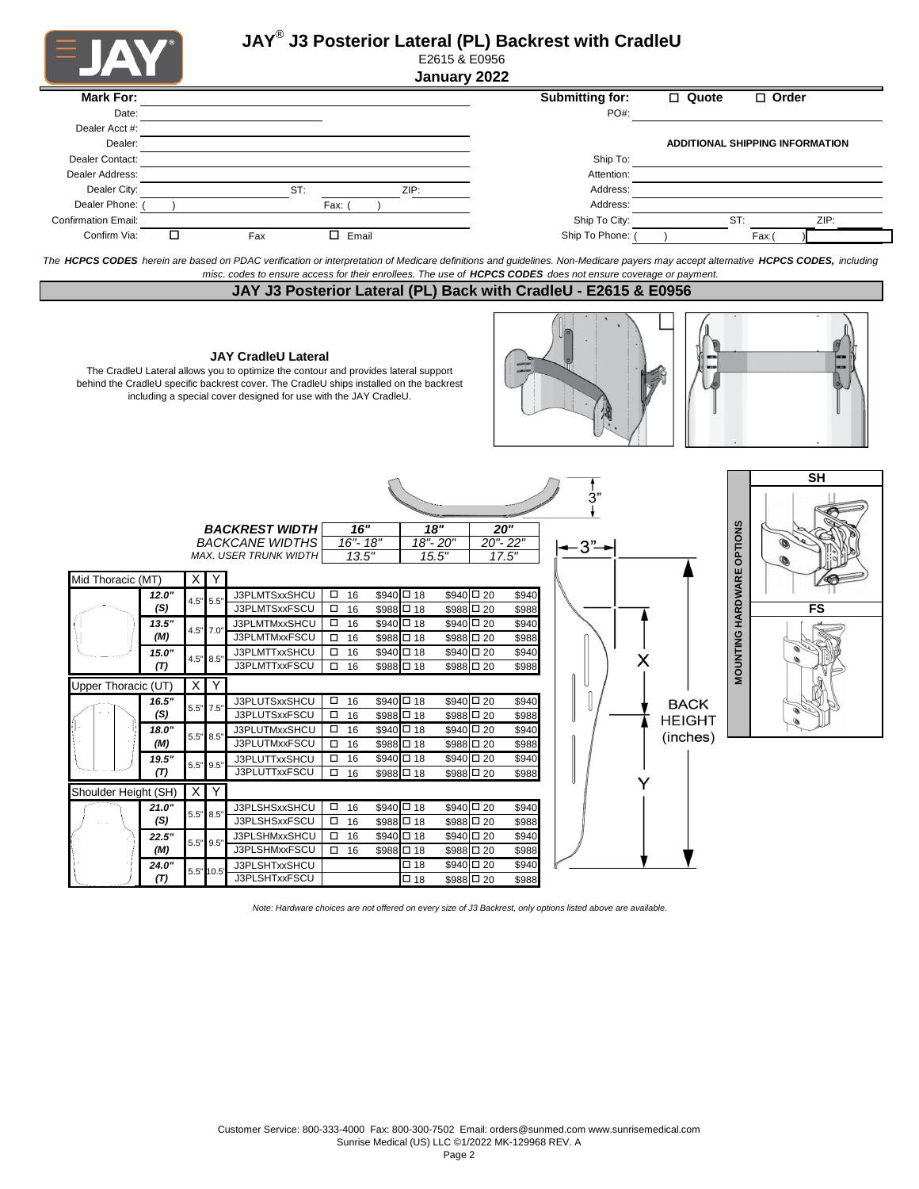



#### E2615 & E0956 **January 2022**

| <b>Mark For:</b>           |   |     |     |            |      | Submitting for: | $\Box$ Quote |     | $\Box$ Order                    |      |
|----------------------------|---|-----|-----|------------|------|-----------------|--------------|-----|---------------------------------|------|
|                            |   |     |     |            |      |                 |              |     |                                 |      |
| Date:                      |   |     |     |            |      | PO#:            |              |     |                                 |      |
| Dealer Acct #:             |   |     |     |            |      |                 |              |     |                                 |      |
| Dealer:                    |   |     |     |            |      |                 |              |     | ADDITIONAL SHIPPING INFORMATION |      |
| Dealer Contact:            |   |     |     |            |      | Ship To:        |              |     |                                 |      |
| Dealer Address:            |   |     |     |            |      | Attention:      |              |     |                                 |      |
| Dealer City:               |   |     | ST: |            | ZIP: | Address:        |              |     |                                 |      |
| Dealer Phone:              |   |     |     | Fax: (     |      | Address:        |              |     |                                 |      |
| <b>Confirmation Email:</b> |   |     |     |            |      | Ship To City:   |              | ST: |                                 | ZIP: |
| Confirm Via:               | □ | Fax |     | □<br>Email |      | Ship To Phone:  |              |     | Fax                             |      |

*The HCPCS CODES herein are based on PDAC verification or interpretation of Medicare definitions and guidelines. Non-Medicare payers may accept alternative HCPCS CODES, including misc. codes to ensure access for their enrollees. The use of HCPCS CODES does not ensure coverage or payment.*

# **JAY J3 Posterior Lateral (PL) Back with CradleU - E2615 & E0956**

 $\sqrt{2}$ 

 $\overline{\mathbf{f}}$ 

#### **JAY CradleU Lateral**

The CradleU Lateral allows you to optimize the contour and provides lateral support behind the CradleU specific backrest cover. The CradleU ships installed on the backrest including a special cover designed for use with the JAY CradleU.



|                      |       |          |             |                                                        |        |                      |                   |                   |                     |                  | 3"   |               |
|----------------------|-------|----------|-------------|--------------------------------------------------------|--------|----------------------|-------------------|-------------------|---------------------|------------------|------|---------------|
|                      |       |          |             | <b>BACKREST WIDTH</b>                                  |        | $\overline{16"}$     |                   | $\overline{18}$ " |                     | 20"              |      |               |
|                      |       |          |             | <b>BACKCANE WIDTHS</b><br><b>MAX. USER TRUNK WIDTH</b> |        | $16" - 18"$<br>13.5" |                   | 18"-20"<br>15.5"  |                     | 20"-22"<br>17.5" | -3"- |               |
| Mid Thoracic (MT)    |       | X.       | Y           |                                                        |        |                      |                   |                   |                     |                  |      |               |
|                      | 12.0" |          | $4.5"$ 5.5" | J3PLMTSxxSHCU                                          | $\Box$ | 16                   | $$940 \square 18$ |                   | $$940 \square 20$   | \$940            |      |               |
|                      | (S)   |          |             | J3PLMTSxxFSCU                                          | $\Box$ | 16                   | \$988 □ 18        |                   | \$988 □ 20          | \$988            |      |               |
|                      | 13.5" |          | $4.5"$ 7.0" | J3PLMTMxxSHCU                                          | $\Box$ | 16                   | \$940 □ 18        |                   | \$940 □ 20          | \$940            |      |               |
|                      | (M)   |          |             | J3PLMTMxxFSCU                                          | $\Box$ | 16                   | \$988 □ 18        |                   | \$988 □ 20          | \$988            |      |               |
|                      | 15.0" |          | 4.5" 8.5"   | J3PLMTTxxSHCU                                          | $\Box$ | 16                   | $$940 \square 18$ |                   | $$940 \square 20$   | \$940            |      |               |
|                      | (T)   |          |             | J3PLMTTxxFSCU                                          | $\Box$ | 16                   | $$988$ $\Box$ 18  |                   | \$988 □ 20          | \$988            |      |               |
| Upper Thoracic (UT)  |       | X        | Y           |                                                        |        |                      |                   |                   |                     |                  |      |               |
|                      | 16.5" | 5.5"     | 7.5"        | J3PLUTSxxSHCU                                          |        | $\square$ 16         | \$940 □ 18        |                   | \$940 □ 20          | \$940            |      | BACK          |
|                      | (S)   |          |             | J3PLUTSxxFSCU                                          | $\Box$ | 16                   | \$988 □ 18        |                   | $$988 \Box 20$      | \$988            |      | <b>HEIGHT</b> |
|                      | 18.0" |          | 5.5" 8.5"   | J3PLUTMxxSHCU                                          | $\Box$ | 16                   | $$940 \square 18$ |                   | \$940 □ 20          | \$940            |      | (inches)      |
|                      | (M)   |          |             | J3PLUTMxxFSCU                                          |        | 16                   | \$988 □ 18        |                   | \$988 □ 20          | \$988            |      |               |
|                      | 19.5" |          | 5.5" 9.5"   | J3PLUTTxxSHCU                                          |        | 16                   | \$940 □ 18        |                   | $$940 \square 20$   | \$940            |      |               |
|                      | (T)   |          |             | J3PLUTTxxFSCU                                          | $\Box$ | 16                   | \$988 □ 18        |                   | \$988 □ 20          | \$988            |      |               |
| Shoulder Height (SH) |       | $\times$ | Y           |                                                        |        |                      |                   |                   |                     |                  |      |               |
|                      | 21.0" |          |             | J3PLSHSxxSHCU                                          | $\Box$ | 16                   | $$940 \square 18$ |                   | \$940 □ 20          | \$940            |      |               |
|                      | (S)   |          | $5.5"$ 8.5" | J3PLSHSxxFSCU                                          | $\Box$ | 16                   | $$988 \Box 18$    |                   | $$988 \Box 20$      | \$988            |      |               |
|                      | 22.5" |          | $5.5"$ 9.5" | J3PLSHMxxSHCU                                          | $\Box$ | 16                   | $$940 \square 18$ |                   | \$940 □ 20          | \$940            |      |               |
|                      | (M)   |          |             | J3PLSHMxxFSCU                                          | $\Box$ | 16                   | \$988 □ 18        |                   | $$988$ $\square$ 20 | \$988            |      |               |
|                      | 24.0" |          |             | J3PLSHTxxSHCU                                          |        |                      | $\square$ 18      |                   | \$940 □ 20          | \$940            |      |               |
|                      | (T)   |          | 5.5" 10.5"  | J3PLSHTxxFSCU                                          |        |                      | $\square$ 18      | \$988 □ 20        |                     | \$988            |      |               |

 $\Gamma$ 



*Note: Hardware choices are not offered on every size of J3 Backrest, only options listed above are available.*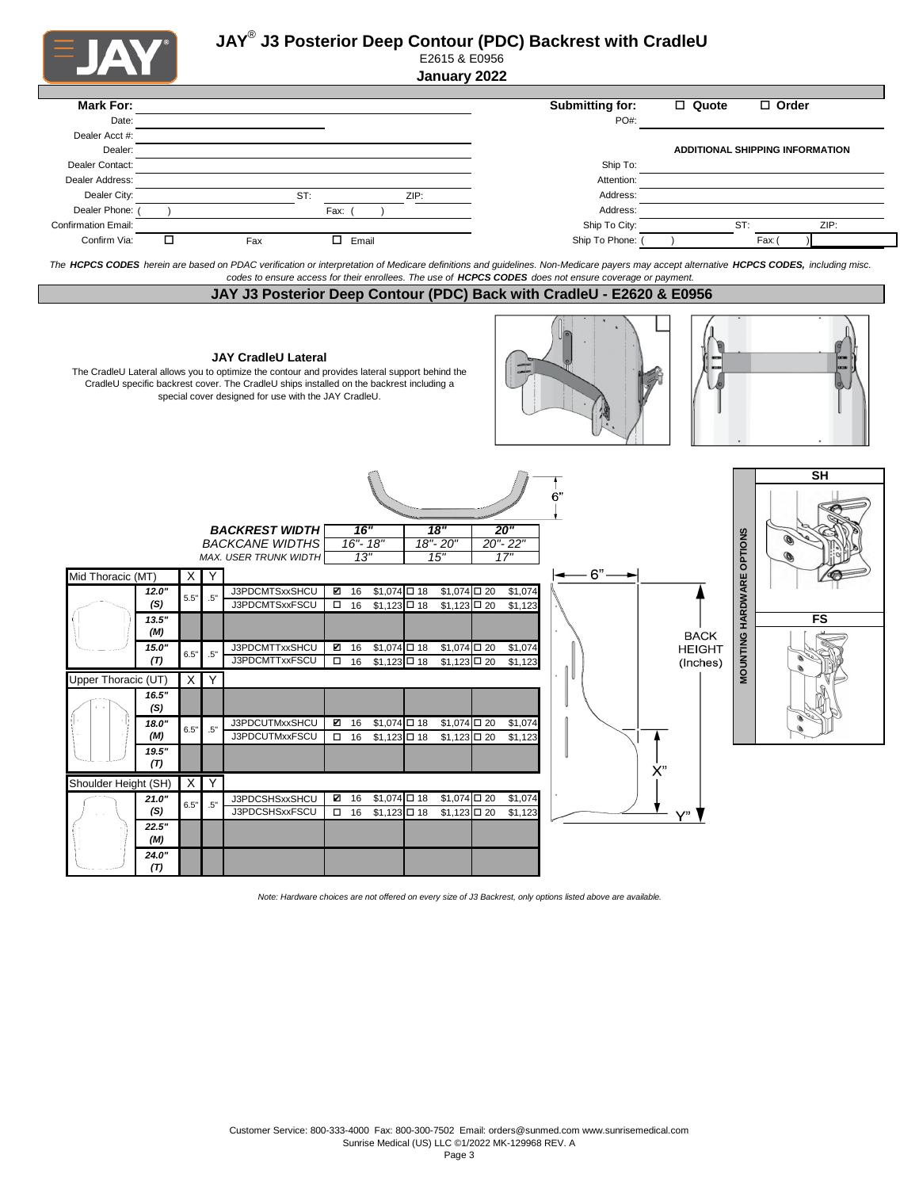|                               |                        |          | E2615 & E0956<br>January 2022                                                                                                                                                                                                                                                    |                                                                                                                                                                                         |  |
|-------------------------------|------------------------|----------|----------------------------------------------------------------------------------------------------------------------------------------------------------------------------------------------------------------------------------------------------------------------------------|-----------------------------------------------------------------------------------------------------------------------------------------------------------------------------------------|--|
| <b>Mark For:</b>              |                        |          |                                                                                                                                                                                                                                                                                  | Submitting for:<br>$\Box$ Quote<br>$\Box$ Order                                                                                                                                         |  |
| Date:<br>Dealer Acct #:       |                        |          |                                                                                                                                                                                                                                                                                  | PO#:                                                                                                                                                                                    |  |
| Dealer:<br>Dealer Contact:    |                        |          |                                                                                                                                                                                                                                                                                  | ADDITIONAL SHIPPING INFORMATION<br>Ship To:                                                                                                                                             |  |
| Dealer Address:               |                        |          |                                                                                                                                                                                                                                                                                  | Attention:                                                                                                                                                                              |  |
| Dealer City:<br>Dealer Phone: |                        |          | ST:<br>ZIP:<br>Fax:                                                                                                                                                                                                                                                              | Address:<br>Address:                                                                                                                                                                    |  |
| <b>Confirmation Email:</b>    |                        |          |                                                                                                                                                                                                                                                                                  | Ship To City:<br>ZIP:<br>ST:                                                                                                                                                            |  |
| Confirm Via:<br>□             |                        |          | $\Box$ Email<br>Fax                                                                                                                                                                                                                                                              | Ship To Phone:<br>Fax:                                                                                                                                                                  |  |
|                               |                        |          | codes to ensure access for their enrollees. The use of HCPCS CODES does not ensure coverage or payment.                                                                                                                                                                          | The HCPCS CODES herein are based on PDAC verification or interpretation of Medicare definitions and guidelines. Non-Medicare payers may accept alternative HCPCS CODES, including misc. |  |
|                               |                        |          |                                                                                                                                                                                                                                                                                  | JAY J3 Posterior Deep Contour (PDC) Back with CradleU - E2620 & E0956                                                                                                                   |  |
|                               |                        |          |                                                                                                                                                                                                                                                                                  |                                                                                                                                                                                         |  |
|                               |                        |          | <b>JAY CradleU Lateral</b><br>The CradleU Lateral allows you to optimize the contour and provides lateral support behind the<br>CradleU specific backrest cover. The CradleU ships installed on the backrest including a<br>special cover designed for use with the JAY CradleU. |                                                                                                                                                                                         |  |
|                               |                        |          | 16"<br>$\overline{18}$ "<br><b>BACKREST WIDTH</b>                                                                                                                                                                                                                                | <b>SH</b><br>6'<br>20"                                                                                                                                                                  |  |
|                               |                        |          | <b>BACKCANE WIDTHS</b><br>16"- 18"<br>18"-20"<br>13"<br>15"<br>MAX. USER TRUNK WIDTH                                                                                                                                                                                             | HARDWARE OPTIONS<br>$20 - 22$<br>17"                                                                                                                                                    |  |
| Mid Thoracic (MT)             | X                      | Y        |                                                                                                                                                                                                                                                                                  | 6"                                                                                                                                                                                      |  |
| 12.0"<br>(S)                  | 5.5"                   | .5'      | J3PDCMTSxxSHCU<br>$$1,074$ $\Box$ 18<br>16<br>☑<br>J3PDCMTSxxFSCU<br>$\Box$<br>16<br>$$1,123$ $\Box$ 18                                                                                                                                                                          | $$1,074$ $\square$ 20<br>\$1,074<br>$$1,123$ $\square$ 20<br>\$1,123                                                                                                                    |  |
| 13.5"<br>(M)                  |                        |          |                                                                                                                                                                                                                                                                                  | FS                                                                                                                                                                                      |  |
| 15.0"                         | 6.5"                   | .5"      | $$1,074$ $\Box$ 18<br>J3PDCMTTxxSHCU<br>☑ 16                                                                                                                                                                                                                                     | <b>BACK</b><br>MOUNTING<br>$$1,074$ $\square$ 20<br>\$1,074<br><b>HEIGHT</b>                                                                                                            |  |
| (T)                           |                        |          | J3PDCMTTxxFSCU<br>$\square$ 16<br>$$1,123$ $\Box$ 18                                                                                                                                                                                                                             | $\overline{1,123}$ $\Box$ 20<br>\$1,123<br>(Inches)                                                                                                                                     |  |
| Jpper Thoracic (UT)<br>16.5   | X                      | Y        |                                                                                                                                                                                                                                                                                  |                                                                                                                                                                                         |  |
| (S)                           |                        |          |                                                                                                                                                                                                                                                                                  |                                                                                                                                                                                         |  |
| 18.0"<br>(M)<br>19.5"         | $6.5"$                 | .5"      | ☑ 16<br>$$1,074$ $\square$ 18<br>J3PDCUTMxxSHCU<br>J3PDCUTMxxFSCU<br>16<br>$$1,123$ $\Box$ 18<br>$\Box$                                                                                                                                                                          | $$1,074$ $\square$ 20<br>\$1,074<br>$$1,123$ $\square$ 20<br>\$1,123                                                                                                                    |  |
|                               |                        |          |                                                                                                                                                                                                                                                                                  |                                                                                                                                                                                         |  |
| (T)                           |                        |          |                                                                                                                                                                                                                                                                                  | X"                                                                                                                                                                                      |  |
| Shoulder Height (SH)<br>21.0" | $\mathsf{X}$<br>$6.5"$ | Y<br>.5" | J3PDCSHSxxSHCU<br>$$1,074$ $\square$ 18<br>☑ 16                                                                                                                                                                                                                                  | $$1,074$ $\square$ 20<br>\$1,074                                                                                                                                                        |  |

*Note: Hardware choices are not offered on every size of J3 Backrest, only options listed above are available.* 

*24.0" (T)*

Page 3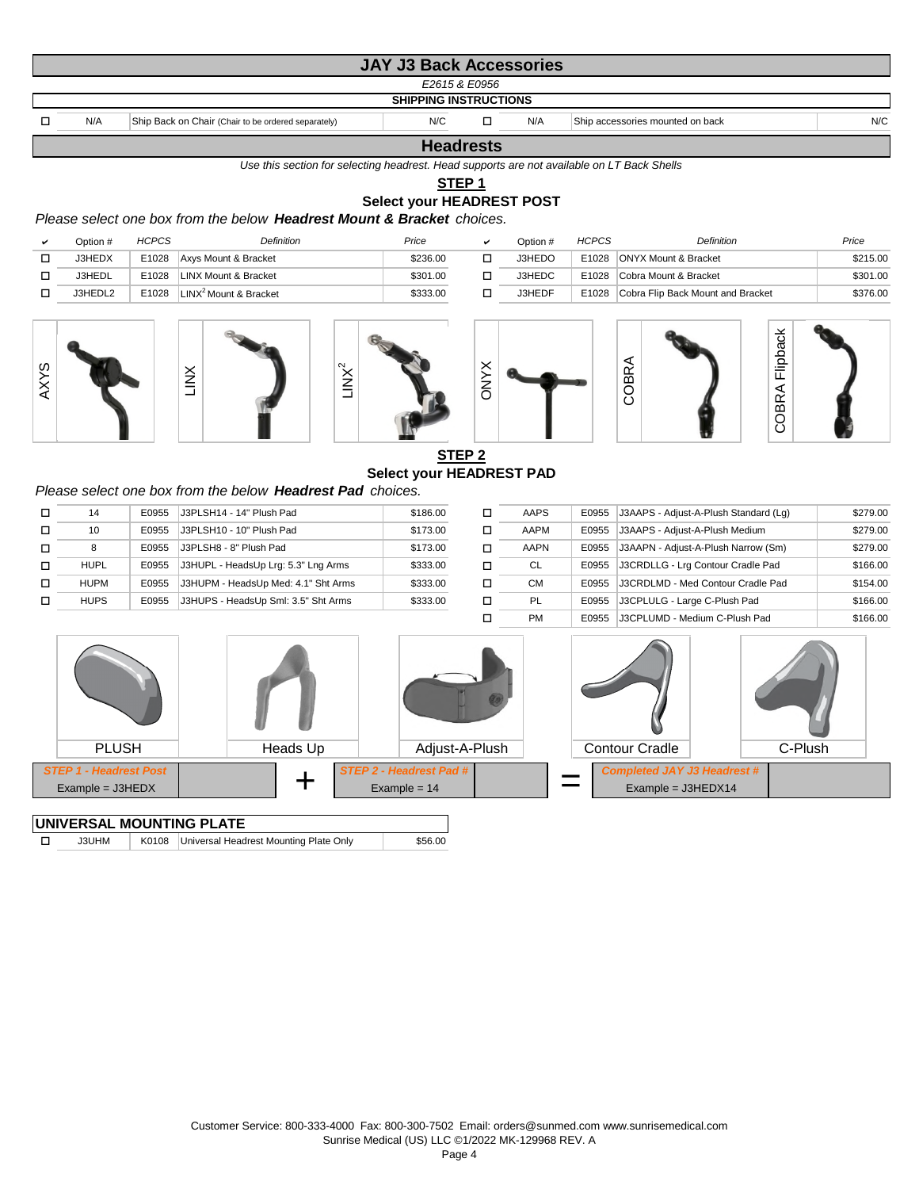|                              |                                                     | <b>JAY J3 Back Accessories</b> |               |     |                                  |     |  |  |  |  |  |
|------------------------------|-----------------------------------------------------|--------------------------------|---------------|-----|----------------------------------|-----|--|--|--|--|--|
|                              |                                                     |                                | E2615 & E0956 |     |                                  |     |  |  |  |  |  |
| <b>SHIPPING INSTRUCTIONS</b> |                                                     |                                |               |     |                                  |     |  |  |  |  |  |
| N/A                          | Ship Back on Chair (Chair to be ordered separately) | N/C                            |               | N/A | Ship accessories mounted on back | N/C |  |  |  |  |  |
| <b>Headrests</b>             |                                                     |                                |               |     |                                  |     |  |  |  |  |  |

*Use this section for selecting headrest. Head supports are not available on LT Back Shells*

**STEP 1**

## **Select your HEADREST POST**

*Please select one box from the below Headrest Mount & Bracket choices.*

| Option # | <b>HCPCS</b> | Definition                        | Price    | Option # | <b>HCPCS</b> | Definition                              | Price    |
|----------|--------------|-----------------------------------|----------|----------|--------------|-----------------------------------------|----------|
| J3HEDX   | E1028        | Axys Mount & Bracket              | \$236.00 | J3HEDO   |              | E1028 ONYX Mount & Bracket              | \$215.00 |
| J3HEDL   | E1028        | LINX Mount & Bracket              | \$301.00 | J3HEDC   |              | E1028 Cobra Mount & Bracket             | \$301.00 |
| J3HEDL2  | E1028        | LINX <sup>2</sup> Mount & Bracket | \$333.00 | J3HEDF   |              | E1028 Cobra Flip Back Mount and Bracket | \$376.00 |











# **STEP 2 Select your HEADREST PAD**

X<br>TO

### *Please select one box from the below Headrest Pad choices.*

| □      | <b>HUPL</b> | E0955 | J3HUPL - HeadsUp Lrg: 5.3" Lng Arms | \$333.00 | □ | CL        | E0955 | J3CRDLLG - Lrg Contour Cradle Pad | \$166.00 |
|--------|-------------|-------|-------------------------------------|----------|---|-----------|-------|-----------------------------------|----------|
| $\Box$ | <b>HUPM</b> | E0955 | J3HUPM - HeadsUp Med: 4.1" Sht Arms | \$333.00 | □ | <b>CM</b> | E0955 | J3CRDLMD - Med Contour Cradle Pad | \$154.00 |
| $\Box$ | <b>HUPS</b> | E0955 | J3HUPS - HeadsUp Sml: 3.5" Sht Arms | \$333.00 | □ | <b>PL</b> | E0955 | J3CPLULG - Large C-Plush Pad      | \$166.00 |
|        |             |       |                                     |          |   | <b>PM</b> | E0955 | J3CPLUMD - Medium C-Plush Pad     | \$166.00 |

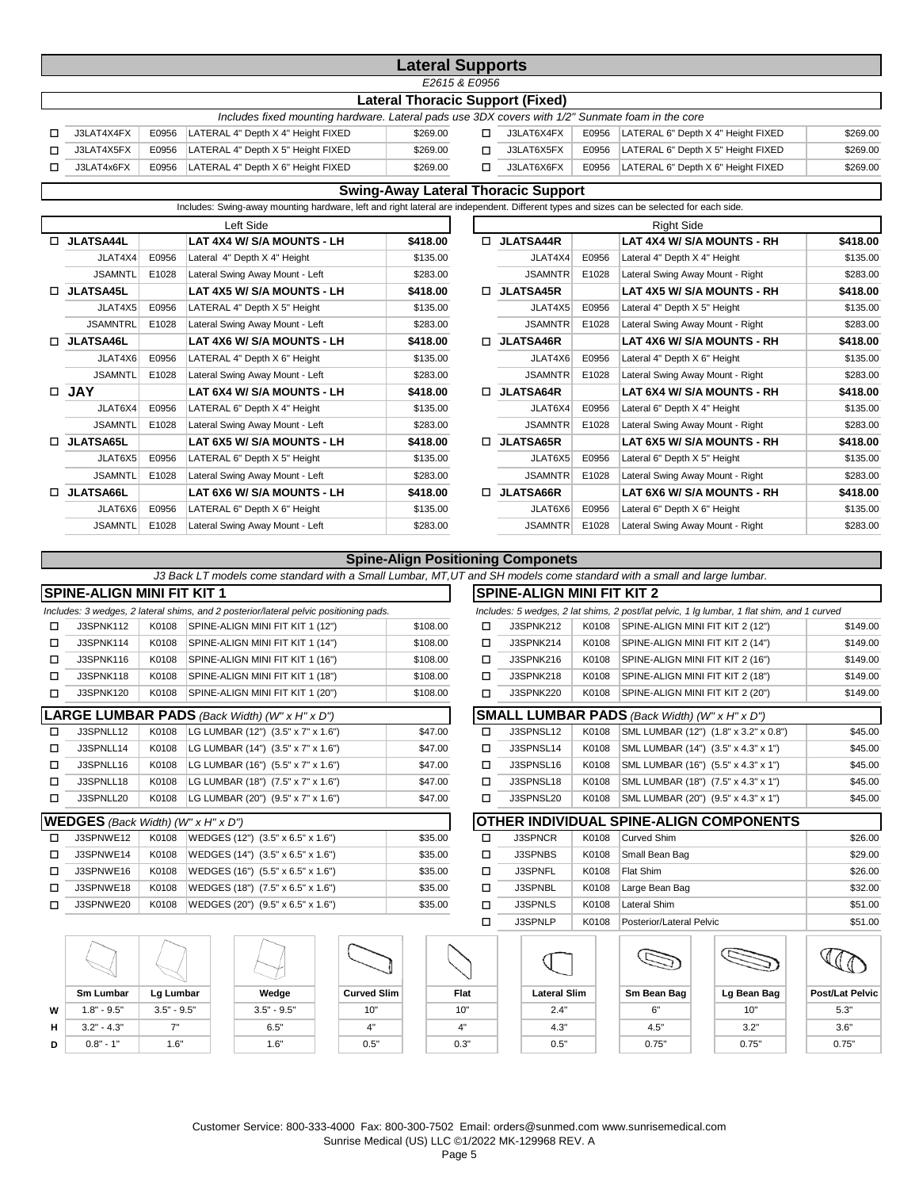|                                                                                                  |       |                                    | <b>Lateral Supports</b> |  |                                         |       |                                    |          |  |  |  |
|--------------------------------------------------------------------------------------------------|-------|------------------------------------|-------------------------|--|-----------------------------------------|-------|------------------------------------|----------|--|--|--|
| E2615 & E0956                                                                                    |       |                                    |                         |  |                                         |       |                                    |          |  |  |  |
|                                                                                                  |       |                                    |                         |  | <b>Lateral Thoracic Support (Fixed)</b> |       |                                    |          |  |  |  |
| Includes fixed mounting hardware. Lateral pads use 3DX covers with 1/2" Sunmate foam in the core |       |                                    |                         |  |                                         |       |                                    |          |  |  |  |
| J3LAT4X4FX                                                                                       | E0956 | LATERAL 4" Depth X 4" Height FIXED | \$269.00                |  | J3LAT6X4FX                              | E0956 | LATERAL 6" Depth X 4" Height FIXED | \$269.00 |  |  |  |
| J3LAT4X5FX                                                                                       | E0956 | LATERAL 4" Depth X 5" Height FIXED | \$269.00                |  | J3LAT6X5FX                              | E0956 | LATERAL 6" Depth X 5" Height FIXED | \$269.00 |  |  |  |
| J3LAT4x6FX                                                                                       | E0956 | LATERAL 4" Depth X 6" Height FIXED | \$269.00                |  | J3LAT6X6FX                              | E0956 | LATERAL 6" Depth X 6" Height FIXED | \$269.00 |  |  |  |

## **Swing-Away Lateral Thoracic Support**

Includes: Swing-away mounting hardware, left and right lateral are independent. Different types and sizes can be selected for each side.

|    |                  |       | Left Side                       |          |        |                  |       | <b>Right Side</b>                |          |
|----|------------------|-------|---------------------------------|----------|--------|------------------|-------|----------------------------------|----------|
| П. | <b>JLATSA44L</b> |       | LAT 4X4 W/ S/A MOUNTS - LH      | \$418.00 | п      | <b>JLATSA44R</b> |       | LAT 4X4 W/ S/A MOUNTS - RH       | \$418.00 |
|    | JLAT4X4          | E0956 | Lateral 4" Depth X 4" Height    | \$135.00 |        | JLAT4X4          | E0956 | Lateral 4" Depth X 4" Height     | \$135.00 |
|    | <b>JSAMNTL</b>   | E1028 | Lateral Swing Away Mount - Left | \$283.00 |        | <b>JSAMNTR</b>   | E1028 | Lateral Swing Away Mount - Right | \$283.00 |
| п. | <b>JLATSA45L</b> |       | LAT 4X5 W/ S/A MOUNTS - LH      | \$418.00 | $\Box$ | <b>JLATSA45R</b> |       | LAT 4X5 W/ S/A MOUNTS - RH       | \$418.00 |
|    | JLAT4X5          | E0956 | LATERAL 4" Depth X 5" Height    | \$135.00 |        | JLAT4X5          | E0956 | Lateral 4" Depth X 5" Height     | \$135.00 |
|    | <b>JSAMNTRL</b>  | E1028 | Lateral Swing Away Mount - Left | \$283.00 |        | <b>JSAMNTR</b>   | E1028 | Lateral Swing Away Mount - Right | \$283.00 |
|    | <b>JLATSA46L</b> |       | LAT 4X6 W/ S/A MOUNTS - LH      | \$418.00 | п      | <b>JLATSA46R</b> |       | LAT 4X6 W/ S/A MOUNTS - RH       | \$418.00 |
|    | JLAT4X6          | E0956 | LATERAL 4" Depth X 6" Height    | \$135.00 |        | JLAT4X6          | E0956 | Lateral 4" Depth X 6" Height     | \$135.00 |
|    | <b>JSAMNTL</b>   | E1028 | Lateral Swing Away Mount - Left | \$283.00 |        | <b>JSAMNTR</b>   | E1028 | Lateral Swing Away Mount - Right | \$283.00 |
|    | $\Box$ JAY       |       | LAT 6X4 W/ S/A MOUNTS - LH      | \$418.00 | $\Box$ | <b>JLATSA64R</b> |       | LAT 6X4 W/ S/A MOUNTS - RH       | \$418.00 |
|    | JLAT6X4          | E0956 | LATERAL 6" Depth X 4" Height    | \$135.00 |        | JLAT6X4          | E0956 | Lateral 6" Depth X 4" Height     | \$135.00 |
|    | <b>JSAMNTL</b>   | E1028 | Lateral Swing Away Mount - Left | \$283.00 |        | <b>JSAMNTR</b>   | E1028 | Lateral Swing Away Mount - Right | \$283.00 |
| п. | <b>JLATSA65L</b> |       | LAT 6X5 W/ S/A MOUNTS - LH      | \$418.00 | п      | <b>JLATSA65R</b> |       | LAT 6X5 W/ S/A MOUNTS - RH       | \$418.00 |
|    | JLAT6X5          | E0956 | LATERAL 6" Depth X 5" Height    | \$135.00 |        | JLAT6X5          | E0956 | Lateral 6" Depth X 5" Height     | \$135.00 |
|    | <b>JSAMNTL</b>   | E1028 | Lateral Swing Away Mount - Left | \$283.00 |        | <b>JSAMNTR</b>   | E1028 | Lateral Swing Away Mount - Right | \$283.00 |
|    | $\Box$ JLATSA66L |       | LAT 6X6 W/ S/A MOUNTS - LH      | \$418.00 | п      | <b>JLATSA66R</b> |       | LAT 6X6 W/ S/A MOUNTS - RH       | \$418.00 |
|    | JLAT6X6          | E0956 | LATERAL 6" Depth X 6" Height    | \$135.00 |        | JLAT6X6          | E0956 | Lateral 6" Depth X 6" Height     | \$135.00 |
|    | <b>JSAMNTL</b>   | E1028 | Lateral Swing Away Mount - Left | \$283.00 |        | <b>JSAMNTR</b>   | E1028 | Lateral Swing Away Mount - Right | \$283.00 |

## **Spine-Align Positioning Componets**

*J3 Back LT models come standard with a Small Lumbar, MT,UT and SH models come standard with a small and large lumbar.*

|   | <b>SPINE-ALIGN MINI FIT KIT 1</b>         |               |                                                                                       |                    |          |        | <b>SPINE-ALIGN MINI FIT KIT 2</b> |       |                                                      |                                                                                            |                        |
|---|-------------------------------------------|---------------|---------------------------------------------------------------------------------------|--------------------|----------|--------|-----------------------------------|-------|------------------------------------------------------|--------------------------------------------------------------------------------------------|------------------------|
|   |                                           |               | Includes: 3 wedges, 2 lateral shims, and 2 posterior/lateral pelvic positioning pads. |                    |          |        |                                   |       |                                                      | Includes: 5 wedges, 2 lat shims, 2 post/lat pelvic, 1 lg lumbar, 1 flat shim, and 1 curved |                        |
| □ | <b>J3SPNK112</b>                          | K0108         | SPINE-ALIGN MINI FIT KIT 1 (12")                                                      |                    | \$108.00 | п      | J3SPNK212                         | K0108 | SPINE-ALIGN MINI FIT KIT 2 (12")                     |                                                                                            | \$149.00               |
| □ | J3SPNK114                                 | K0108         | SPINE-ALIGN MINI FIT KIT 1 (14")                                                      |                    | \$108.00 | п      | J3SPNK214                         | K0108 | SPINE-ALIGN MINI FIT KIT 2 (14")                     |                                                                                            | \$149.00               |
| п | J3SPNK116                                 | K0108         | SPINE-ALIGN MINI FIT KIT 1 (16")                                                      |                    | \$108.00 | п      | J3SPNK216                         | K0108 | SPINE-ALIGN MINI FIT KIT 2 (16")                     |                                                                                            | \$149.00               |
| □ | J3SPNK118                                 | K0108         | SPINE-ALIGN MINI FIT KIT 1 (18")                                                      |                    | \$108.00 | п      | J3SPNK218                         | K0108 | SPINE-ALIGN MINI FIT KIT 2 (18")                     |                                                                                            | \$149.00               |
| □ | <b>J3SPNK120</b>                          | K0108         | SPINE-ALIGN MINI FIT KIT 1 (20")                                                      |                    | \$108.00 | п      | J3SPNK220                         | K0108 | SPINE-ALIGN MINI FIT KIT 2 (20")                     |                                                                                            | \$149.00               |
|   |                                           |               | LARGE LUMBAR PADS (Back Width) (W" x H" x D")                                         |                    |          |        |                                   |       | <b>SMALL LUMBAR PADS</b> (Back Width) (W" x H" x D") |                                                                                            |                        |
| □ | J3SPNLL12                                 | K0108         | LG LUMBAR (12") (3.5" x 7" x 1.6")                                                    |                    | \$47.00  | $\Box$ | J3SPNSL12                         | K0108 |                                                      | SML LUMBAR (12") (1.8" x 3.2" x 0.8")                                                      | \$45.00                |
| □ | J3SPNLL14                                 | K0108         | LG LUMBAR (14") (3.5" x 7" x 1.6")                                                    |                    | \$47.00  | п      | J3SPNSL14                         | K0108 | SML LUMBAR (14") (3.5" x 4.3" x 1")                  |                                                                                            | \$45.00                |
| □ | J3SPNLL16                                 | K0108         | LG LUMBAR (16") (5.5" x 7" x 1.6")                                                    |                    | \$47.00  | п      | J3SPNSL16                         | K0108 | SML LUMBAR (16") (5.5" x 4.3" x 1")                  |                                                                                            | \$45.00                |
| □ | J3SPNLL18                                 | K0108         | LG LUMBAR (18") (7.5" x 7" x 1.6")                                                    |                    | \$47.00  | п      | J3SPNSL18                         | K0108 | SML LUMBAR (18") (7.5" x 4.3" x 1")                  |                                                                                            | \$45.00                |
| □ | J3SPNLL20                                 | K0108         | LG LUMBAR (20") (9.5" x 7" x 1.6")                                                    |                    | \$47.00  | п      | J3SPNSL20                         | K0108 | SML LUMBAR (20") (9.5" x 4.3" x 1")                  |                                                                                            | \$45.00                |
|   | <b>WEDGES</b> (Back Width) (W" x H" x D") |               |                                                                                       |                    |          |        |                                   |       |                                                      | OTHER INDIVIDUAL SPINE-ALIGN COMPONENTS                                                    |                        |
| п | J3SPNWE12                                 | K0108         | WEDGES (12") (3.5" x 6.5" x 1.6")                                                     |                    | \$35.00  | $\Box$ | <b>J3SPNCR</b>                    | K0108 | <b>Curved Shim</b>                                   |                                                                                            | \$26.00                |
| ◻ | J3SPNWE14                                 | K0108         | WEDGES (14") (3.5" x 6.5" x 1.6")                                                     |                    | \$35.00  | □      | J3SPNBS                           | K0108 | Small Bean Bag                                       |                                                                                            | \$29.00                |
| □ | J3SPNWE16                                 | K0108         | WEDGES (16") (5.5" x 6.5" x 1.6")                                                     |                    | \$35.00  | п      | <b>J3SPNFL</b>                    | K0108 | Flat Shim                                            |                                                                                            | \$26.00                |
| □ | J3SPNWE18                                 | K0108         | WEDGES (18") (7.5" x 6.5" x 1.6")                                                     |                    | \$35.00  | □      | J3SPNBL                           | K0108 | Large Bean Bag                                       |                                                                                            | \$32.00                |
| п | J3SPNWE20                                 | K0108         | WEDGES (20") (9.5" x 6.5" x 1.6")                                                     |                    | \$35.00  | п      | <b>J3SPNLS</b>                    | K0108 | <b>Lateral Shim</b>                                  |                                                                                            | \$51.00                |
|   |                                           |               |                                                                                       |                    |          | п      | J3SPNLP                           | K0108 | Posterior/Lateral Pelvic                             |                                                                                            | \$51.00                |
|   |                                           |               |                                                                                       |                    |          |        |                                   |       |                                                      |                                                                                            |                        |
|   | <b>Sm Lumbar</b>                          | Lg Lumbar     | Wedge                                                                                 | <b>Curved Slim</b> |          | Flat   | <b>Lateral Slim</b>               |       | Sm Bean Bag                                          | Lg Bean Bag                                                                                | <b>Post/Lat Pelvic</b> |
| W | $1.8" - 9.5"$                             | $3.5" - 9.5"$ | $3.5" - 9.5"$                                                                         | 10"                |          | 10"    | 2.4"                              |       | 6"                                                   | 10"                                                                                        | 5.3"                   |
| н | $3.2" - 4.3"$                             | 7"            | 6.5"                                                                                  | 4"                 |          | 4"     | 4.3"                              |       | 4.5"                                                 | 3.2"                                                                                       | 3.6"                   |

Customer Service: 800-333-4000 Fax: 800-300-7502 Email: orders@sunmed.com www.sunrisemedical.com Sunrise Medical (US) LLC ©1/2022 MK-129968 REV. A

**D**  $\vert$  0.8" - 1"  $\vert$  1.6"  $\vert$  1.6"  $\vert$  1.6"  $\vert$  0.5"  $\vert$  0.3"  $\vert$  0.75"  $\vert$   $\vert$  0.75"  $\vert$   $\vert$  0.75"  $\vert$  1.6" 0.75"